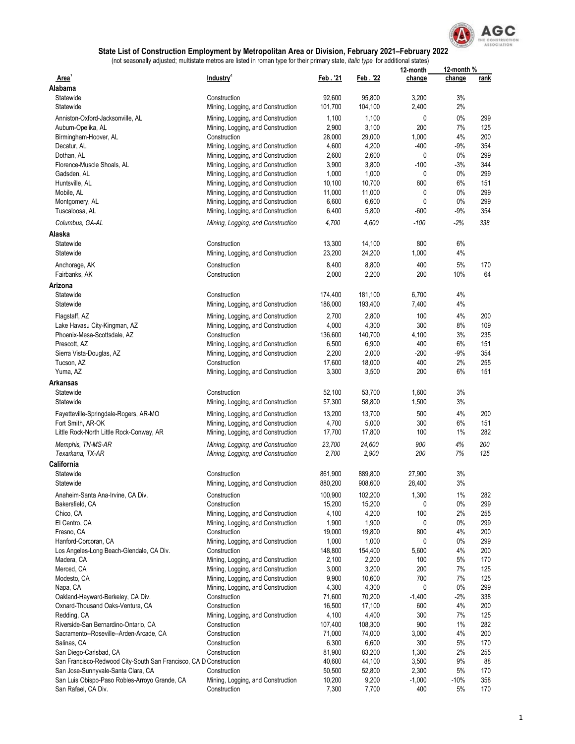

|                                                                   |                                                                        |                  |                  | 12-month    | 12-month %  |             |
|-------------------------------------------------------------------|------------------------------------------------------------------------|------------------|------------------|-------------|-------------|-------------|
| Area'<br>Alabama                                                  | Industry <sup>2</sup>                                                  | Feb. '21         | Feb. 22          | change      | change      | <u>rank</u> |
| Statewide                                                         | Construction                                                           | 92,600           | 95,800           | 3,200       | 3%          |             |
| Statewide                                                         | Mining, Logging, and Construction                                      | 101,700          | 104,100          | 2,400       | 2%          |             |
| Anniston-Oxford-Jacksonville, AL                                  |                                                                        | 1,100            | 1,100            | 0           | 0%          | 299         |
| Auburn-Opelika, AL                                                | Mining, Logging, and Construction<br>Mining, Logging, and Construction | 2,900            | 3,100            | 200         | 7%          | 125         |
|                                                                   | Construction                                                           | 28,000           | 29,000           | 1,000       | 4%          | 200         |
| Birmingham-Hoover, AL                                             |                                                                        | 4,600            | 4,200            | $-400$      | $-9%$       | 354         |
| Decatur, AL                                                       | Mining, Logging, and Construction                                      |                  |                  |             | 0%          | 299         |
| Dothan, AL                                                        | Mining, Logging, and Construction                                      | 2,600            | 2,600            | 0           |             |             |
| Florence-Muscle Shoals, AL                                        | Mining, Logging, and Construction                                      | 3,900<br>1,000   | 3,800<br>1,000   | $-100$<br>0 | $-3%$<br>0% | 344<br>299  |
| Gadsden, AL                                                       | Mining, Logging, and Construction                                      |                  |                  | 600         | 6%          | 151         |
| Huntsville, AL<br>Mobile, AL                                      | Mining, Logging, and Construction<br>Mining, Logging, and Construction | 10,100<br>11,000 | 10,700<br>11,000 | 0           | 0%          | 299         |
|                                                                   |                                                                        | 6,600            | 6,600            | 0           | 0%          | 299         |
| Montgomery, AL<br>Tuscaloosa, AL                                  | Mining, Logging, and Construction                                      | 6,400            |                  | $-600$      | $-9%$       | 354         |
|                                                                   | Mining, Logging, and Construction                                      |                  | 5,800            |             |             |             |
| Columbus, GA-AL                                                   | Mining, Logging, and Construction                                      | 4,700            | 4,600            | $-100$      | $-2%$       | 338         |
| Alaska                                                            |                                                                        |                  |                  |             |             |             |
| Statewide                                                         | Construction                                                           | 13,300           | 14,100           | 800         | 6%          |             |
| Statewide                                                         | Mining, Logging, and Construction                                      | 23,200           | 24,200           | 1,000       | 4%          |             |
| Anchorage, AK                                                     | Construction                                                           | 8,400            | 8,800            | 400         | 5%          | 170         |
| Fairbanks, AK                                                     | Construction                                                           | 2,000            | 2,200            | 200         | 10%         | 64          |
| Arizona                                                           |                                                                        |                  |                  |             |             |             |
| Statewide                                                         | Construction                                                           | 174,400          | 181,100          | 6,700       | 4%          |             |
| Statewide                                                         | Mining, Logging, and Construction                                      | 186,000          | 193,400          | 7,400       | 4%          |             |
|                                                                   |                                                                        |                  |                  |             |             |             |
| Flagstaff, AZ                                                     | Mining, Logging, and Construction                                      | 2,700            | 2,800            | 100         | 4%          | 200         |
| Lake Havasu City-Kingman, AZ                                      | Mining, Logging, and Construction                                      | 4,000            | 4,300            | 300         | 8%          | 109         |
| Phoenix-Mesa-Scottsdale, AZ                                       | Construction                                                           | 136,600          | 140,700          | 4,100       | 3%          | 235         |
| Prescott, AZ                                                      | Mining, Logging, and Construction                                      | 6,500            | 6,900            | 400         | 6%          | 151         |
| Sierra Vista-Douglas, AZ                                          | Mining, Logging, and Construction                                      | 2,200            | 2,000            | $-200$      | $-9%$       | 354         |
| Tucson, AZ                                                        | Construction                                                           | 17,600           | 18,000           | 400         | 2%          | 255         |
| Yuma, AZ                                                          | Mining, Logging, and Construction                                      | 3,300            | 3,500            | 200         | 6%          | 151         |
| Arkansas                                                          |                                                                        |                  |                  |             |             |             |
| Statewide                                                         | Construction                                                           | 52,100           | 53,700           | 1,600       | 3%          |             |
| Statewide                                                         | Mining, Logging, and Construction                                      | 57,300           | 58,800           | 1,500       | 3%          |             |
| Fayetteville-Springdale-Rogers, AR-MO                             | Mining, Logging, and Construction                                      | 13,200           | 13,700           | 500         | 4%          | 200         |
| Fort Smith, AR-OK                                                 | Mining, Logging, and Construction                                      | 4,700            | 5,000            | 300         | 6%          | 151         |
| Little Rock-North Little Rock-Conway, AR                          | Mining, Logging, and Construction                                      | 17,700           | 17,800           | 100         | 1%          | 282         |
| Memphis, TN-MS-AR                                                 | Mining, Logging, and Construction                                      | 23,700           | 24,600           | 900         | 4%          | 200         |
| Texarkana, TX-AR                                                  | Mining, Logging, and Construction                                      | 2,700            | 2,900            | 200         | 7%          | 125         |
| California                                                        |                                                                        |                  |                  |             |             |             |
| Statewide                                                         | Construction                                                           | 861,900          | 889,800          | 27,900      | 3%          |             |
| Statewide                                                         | Mining, Logging, and Construction                                      | 880,200          | 908,600          | 28,400      | 3%          |             |
|                                                                   |                                                                        |                  |                  |             |             |             |
| Anaheim-Santa Ana-Irvine, CA Div.                                 | Construction                                                           | 100,900          | 102,200          | 1,300       | $1\%$       | 282         |
| Bakersfield, CA                                                   | Construction                                                           | 15,200           | 15,200           | 0           | 0%          | 299         |
| Chico, CA                                                         | Mining, Logging, and Construction                                      | 4,100            | 4,200            | 100         | 2%          | 255         |
| El Centro, CA                                                     | Mining, Logging, and Construction                                      | 1,900            | 1,900            | 0           | 0%          | 299         |
| Fresno, CA                                                        | Construction                                                           | 19,000           | 19,800           | 800         | 4%          | 200         |
| Hanford-Corcoran, CA                                              | Mining, Logging, and Construction                                      | 1,000            | 1,000            | 0           | 0%          | 299         |
| Los Angeles-Long Beach-Glendale, CA Div.                          | Construction                                                           | 148,800          | 154,400          | 5,600       | 4%          | 200         |
| Madera, CA                                                        | Mining, Logging, and Construction                                      | 2,100            | 2,200            | 100         | 5%          | 170         |
| Merced, CA                                                        | Mining, Logging, and Construction                                      | 3,000            | 3,200            | 200         | 7%          | 125         |
| Modesto, CA                                                       | Mining, Logging, and Construction                                      | 9,900            | 10,600           | 700         | 7%          | 125         |
| Napa, CA                                                          | Mining, Logging, and Construction                                      | 4,300            | 4,300            | 0           | 0%          | 299         |
| Oakland-Hayward-Berkeley, CA Div.                                 | Construction                                                           | 71,600           | 70,200           | $-1,400$    | $-2%$       | 338         |
| Oxnard-Thousand Oaks-Ventura, CA                                  | Construction                                                           | 16,500           | 17,100           | 600         | 4%          | 200         |
| Redding, CA                                                       | Mining, Logging, and Construction                                      | 4,100            | 4,400            | 300         | 7%          | 125         |
| Riverside-San Bernardino-Ontario, CA                              | Construction                                                           | 107,400          | 108,300          | 900         | 1%          | 282         |
| Sacramento--Roseville--Arden-Arcade, CA                           | Construction                                                           | 71,000           | 74,000           | 3,000       | 4%          | 200         |
| Salinas, CA                                                       | Construction                                                           | 6,300            | 6,600            | 300         | 5%          | 170         |
| San Diego-Carlsbad, CA                                            | Construction                                                           | 81,900           | 83,200           | 1,300       | 2%          | 255         |
| San Francisco-Redwood City-South San Francisco, CA D Construction |                                                                        | 40,600           | 44,100           | 3,500       | 9%          | 88          |
| San Jose-Sunnyvale-Santa Clara, CA                                | Construction                                                           | 50,500           | 52,800           | 2,300       | $5%$        | 170         |
| San Luis Obispo-Paso Robles-Arroyo Grande, CA                     | Mining, Logging, and Construction                                      | 10,200           | 9,200            | $-1,000$    | $-10%$      | 358         |
| San Rafael, CA Div.                                               | Construction                                                           | 7,300            | 7,700            | 400         | $5%$        | 170         |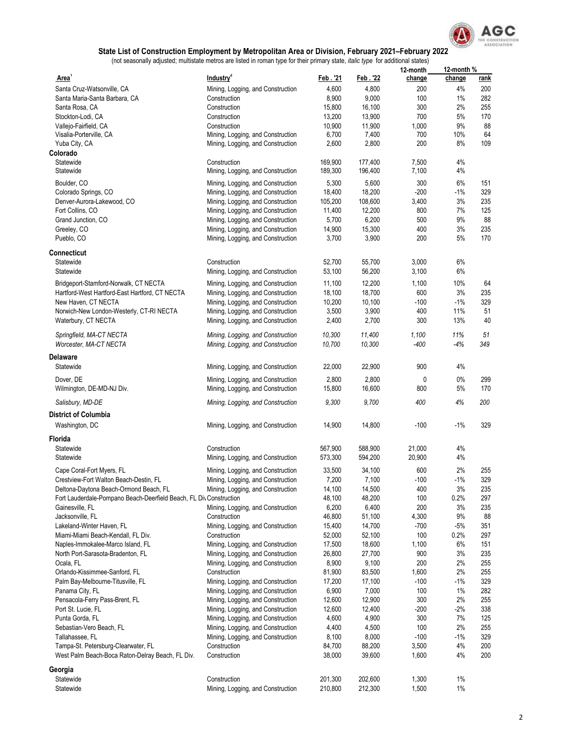

|                                                                    |                                                                        |                 |                 | 12-month      | 12-month %   |             |
|--------------------------------------------------------------------|------------------------------------------------------------------------|-----------------|-----------------|---------------|--------------|-------------|
| Area'                                                              | Industry <sup>2</sup>                                                  | Feb.'21         | Feb. '22        | change        | change       | <u>rank</u> |
| Santa Cruz-Watsonville, CA                                         | Mining, Logging, and Construction                                      | 4,600           | 4,800           | 200           | 4%           | 200         |
| Santa Maria-Santa Barbara, CA                                      | Construction                                                           | 8,900           | 9,000           | 100           | 1%           | 282         |
| Santa Rosa, CA                                                     | Construction                                                           | 15,800          | 16,100          | 300           | 2%           | 255         |
| Stockton-Lodi, CA                                                  | Construction                                                           | 13,200          | 13,900          | 700           | 5%<br>9%     | 170<br>88   |
| Vallejo-Fairfield, CA<br>Visalia-Porterville, CA                   | Construction<br>Mining, Logging, and Construction                      | 10,900<br>6,700 | 11,900<br>7,400 | 1,000<br>700  | 10%          | 64          |
| Yuba City, CA                                                      | Mining, Logging, and Construction                                      | 2,600           | 2,800           | 200           | 8%           | 109         |
| Colorado                                                           |                                                                        |                 |                 |               |              |             |
| Statewide                                                          | Construction                                                           | 169,900         | 177,400         | 7,500         | 4%           |             |
| Statewide                                                          | Mining, Logging, and Construction                                      | 189,300         | 196,400         | 7,100         | 4%           |             |
| Boulder, CO                                                        | Mining, Logging, and Construction                                      | 5,300           | 5,600           | 300           | 6%           | 151         |
| Colorado Springs, CO                                               | Mining, Logging, and Construction                                      | 18,400          | 18,200          | $-200$        | -1%          | 329         |
| Denver-Aurora-Lakewood, CO                                         | Mining, Logging, and Construction                                      | 105,200         | 108,600         | 3,400         | 3%           | 235         |
| Fort Collins, CO                                                   | Mining, Logging, and Construction                                      | 11,400          | 12,200          | 800           | 7%           | 125         |
| Grand Junction, CO                                                 | Mining, Logging, and Construction                                      | 5,700           | 6,200           | 500           | 9%           | 88          |
| Greeley, CO                                                        | Mining, Logging, and Construction                                      | 14,900          | 15,300          | 400           | 3%           | 235         |
| Pueblo, CO                                                         | Mining, Logging, and Construction                                      | 3,700           | 3,900           | 200           | 5%           | 170         |
| Connecticut                                                        |                                                                        |                 |                 |               |              |             |
| Statewide                                                          | Construction                                                           | 52,700          | 55,700          | 3,000         | 6%           |             |
| Statewide                                                          | Mining, Logging, and Construction                                      | 53,100          | 56,200          | 3,100         | 6%           |             |
|                                                                    |                                                                        |                 |                 |               |              |             |
| Bridgeport-Stamford-Norwalk, CT NECTA                              | Mining, Logging, and Construction                                      | 11,100          | 12,200          | 1,100         | 10%          | 64          |
| Hartford-West Hartford-East Hartford, CT NECTA                     | Mining, Logging, and Construction                                      | 18,100          | 18,700          | 600           | 3%           | 235         |
| New Haven, CT NECTA<br>Norwich-New London-Westerly, CT-RI NECTA    | Mining, Logging, and Construction<br>Mining, Logging, and Construction | 10,200<br>3,500 | 10,100<br>3,900 | $-100$<br>400 | $-1%$<br>11% | 329<br>51   |
| Waterbury, CT NECTA                                                | Mining, Logging, and Construction                                      | 2,400           | 2,700           | 300           | 13%          | 40          |
|                                                                    |                                                                        |                 |                 |               |              |             |
| Springfield, MA-CT NECTA                                           | Mining, Logging, and Construction                                      | 10,300          | 11,400          | 1,100         | 11%          | 51          |
| Worcester, MA-CT NECTA                                             | Mining, Logging, and Construction                                      | 10,700          | 10,300          | -400          | -4%          | 349         |
| Delaware                                                           |                                                                        |                 |                 |               |              |             |
| Statewide                                                          | Mining, Logging, and Construction                                      | 22,000          | 22,900          | 900           | 4%           |             |
| Dover, DE                                                          | Mining, Logging, and Construction                                      | 2,800           | 2,800           | 0             | 0%           | 299         |
| Wilmington, DE-MD-NJ Div.                                          | Mining, Logging, and Construction                                      | 15,800          | 16,600          | 800           | 5%           | 170         |
| Salisbury, MD-DE                                                   | Mining, Logging, and Construction                                      | 9,300           | 9,700           | 400           | 4%           | 200         |
|                                                                    |                                                                        |                 |                 |               |              |             |
| <b>District of Columbia</b>                                        |                                                                        |                 |                 |               |              |             |
| Washington, DC                                                     | Mining, Logging, and Construction                                      | 14,900          | 14,800          | $-100$        | $-1%$        | 329         |
| <b>Florida</b>                                                     |                                                                        |                 |                 |               |              |             |
| Statewide                                                          | Construction                                                           | 567,900         | 588,900         | 21,000        | 4%           |             |
| Statewide                                                          | Mining, Logging, and Construction                                      | 573,300         | 594,200         | 20,900        | 4%           |             |
| Cape Coral-Fort Myers, FL                                          | Mining, Logging, and Construction                                      | 33,500          | 34,100          | 600           | 2%           | 255         |
| Crestview-Fort Walton Beach-Destin, FL                             | Mining, Logging, and Construction                                      | 7,200           | 7,100           | $-100$        | -1%          | 329         |
| Deltona-Daytona Beach-Ormond Beach, FL                             | Mining, Logging, and Construction                                      | 14,100          | 14,500          | 400           | $3\%$        | 235         |
| Fort Lauderdale-Pompano Beach-Deerfield Beach, FL Div Construction |                                                                        | 48,100          | 48,200          | 100           | 0.2%         | 297         |
| Gainesville, FL                                                    | Mining, Logging, and Construction                                      | 6,200           | 6,400           | 200           | 3%           | 235         |
| Jacksonville, FL                                                   | Construction                                                           | 46,800          | 51,100          | 4,300         | 9%           | 88          |
| Lakeland-Winter Haven, FL                                          | Mining, Logging, and Construction                                      | 15,400          | 14,700          | $-700$        | $-5%$        | 351         |
| Miami-Miami Beach-Kendall, FL Div.                                 | Construction                                                           | 52,000          | 52,100          | 100           | 0.2%         | 297         |
| Naples-Immokalee-Marco Island, FL                                  | Mining, Logging, and Construction                                      | 17,500          | 18,600          | 1,100         | 6%           | 151         |
| North Port-Sarasota-Bradenton, FL                                  | Mining, Logging, and Construction                                      | 26,800          | 27,700          | 900           | 3%<br>2%     | 235         |
| Ocala, FL<br>Orlando-Kissimmee-Sanford, FL                         | Mining, Logging, and Construction<br>Construction                      | 8,900<br>81,900 | 9,100<br>83,500 | 200<br>1,600  | 2%           | 255<br>255  |
| Palm Bay-Melbourne-Titusville, FL                                  | Mining, Logging, and Construction                                      | 17,200          | 17,100          | $-100$        | $-1%$        | 329         |
| Panama City, FL                                                    | Mining, Logging, and Construction                                      | 6,900           | 7,000           | 100           | 1%           | 282         |
| Pensacola-Ferry Pass-Brent, FL                                     | Mining, Logging, and Construction                                      | 12,600          | 12,900          | 300           | 2%           | 255         |
| Port St. Lucie, FL                                                 | Mining, Logging, and Construction                                      | 12,600          | 12,400          | $-200$        | $-2%$        | 338         |
| Punta Gorda, FL                                                    | Mining, Logging, and Construction                                      | 4,600           | 4,900           | 300           | 7%           | 125         |
| Sebastian-Vero Beach, FL                                           | Mining, Logging, and Construction                                      | 4,400           | 4,500           | 100           | 2%           | 255         |
| Tallahassee, FL                                                    | Mining, Logging, and Construction                                      | 8,100           | 8,000           | $-100$        | $-1%$        | 329         |
| Tampa-St. Petersburg-Clearwater, FL                                | Construction                                                           | 84,700          | 88,200          | 3,500         | 4%           | 200         |
| West Palm Beach-Boca Raton-Delray Beach, FL Div.                   | Construction                                                           | 38,000          | 39,600          | 1,600         | 4%           | 200         |
| Georgia                                                            |                                                                        |                 |                 |               |              |             |
| Statewide                                                          | Construction                                                           | 201,300         | 202,600         | 1,300         | $1\%$        |             |
| Statewide                                                          | Mining, Logging, and Construction                                      | 210,800         | 212,300         | 1,500         | $1\%$        |             |
|                                                                    |                                                                        |                 |                 |               |              |             |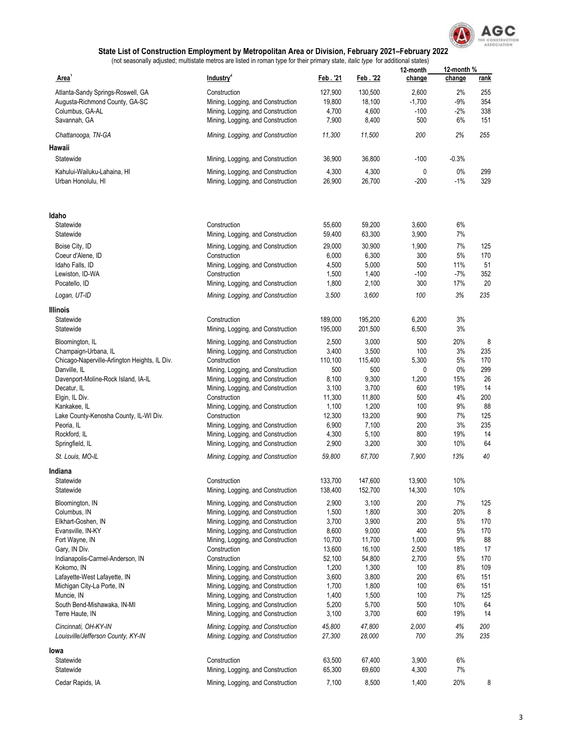

|                                               | Industry <sup>2</sup>                             | Feb.'21            | Feb. 22            | 12-month       | 12-month %   |             |
|-----------------------------------------------|---------------------------------------------------|--------------------|--------------------|----------------|--------------|-------------|
| <b>Area</b>                                   |                                                   |                    |                    | change         | change       | <u>rank</u> |
| Atlanta-Sandy Springs-Roswell, GA             | Construction                                      | 127,900            | 130,500            | 2,600          | 2%           | 255         |
| Augusta-Richmond County, GA-SC                | Mining, Logging, and Construction                 | 19,800             | 18,100             | $-1,700$       | $-9%$        | 354         |
| Columbus, GA-AL                               | Mining, Logging, and Construction                 | 4,700              | 4,600              | $-100$         | $-2%$        | 338         |
| Savannah, GA                                  | Mining, Logging, and Construction                 | 7,900              | 8,400              | 500            | 6%           | 151         |
| Chattanooga, TN-GA                            | Mining, Logging, and Construction                 | 11,300             | 11,500             | 200            | 2%           | 255         |
| Hawaii                                        |                                                   |                    |                    |                |              |             |
| Statewide                                     | Mining, Logging, and Construction                 | 36,900             | 36,800             | $-100$         | $-0.3%$      |             |
| Kahului-Wailuku-Lahaina. HI                   | Mining, Logging, and Construction                 | 4,300              | 4,300              | 0              | $0\%$        | 299         |
| Urban Honolulu, HI                            | Mining, Logging, and Construction                 | 26,900             | 26,700             | $-200$         | $-1%$        | 329         |
| ldaho                                         |                                                   |                    |                    |                |              |             |
| Statewide<br>Statewide                        | Construction<br>Mining, Logging, and Construction | 55,600<br>59,400   | 59,200<br>63,300   | 3,600<br>3,900 | 6%<br>7%     |             |
|                                               |                                                   |                    |                    |                |              |             |
| Boise City, ID                                | Mining, Logging, and Construction                 | 29,000             | 30,900             | 1,900          | 7%           | 125         |
| Coeur d'Alene, ID                             | Construction                                      | 6,000              | 6,300              | 300            | 5%           | 170         |
| Idaho Falls, ID                               | Mining, Logging, and Construction                 | 4,500<br>1,500     | 5,000<br>1,400     | 500<br>$-100$  | 11%<br>$-7%$ | 51<br>352   |
| Lewiston, ID-WA<br>Pocatello, ID              | Construction                                      | 1,800              |                    | 300            | 17%          | 20          |
|                                               | Mining, Logging, and Construction                 |                    | 2,100              |                | 3%           | 235         |
| Logan, UT-ID                                  | Mining, Logging, and Construction                 | 3,500              | 3,600              | 100            |              |             |
| Illinois                                      |                                                   |                    |                    |                |              |             |
| Statewide<br>Statewide                        | Construction<br>Mining, Logging, and Construction | 189,000<br>195,000 | 195,200<br>201,500 | 6,200<br>6,500 | 3%<br>3%     |             |
|                                               | Mining, Logging, and Construction                 | 2,500              | 3,000              | 500            | 20%          | 8           |
| Bloomington, IL<br>Champaign-Urbana, IL       | Mining, Logging, and Construction                 | 3,400              | 3,500              | 100            | 3%           | 235         |
| Chicago-Naperville-Arlington Heights, IL Div. | Construction                                      | 110,100            | 115,400            | 5,300          | 5%           | 170         |
| Danville, IL                                  | Mining, Logging, and Construction                 | 500                | 500                | 0              | 0%           | 299         |
| Davenport-Moline-Rock Island, IA-IL           | Mining, Logging, and Construction                 | 8,100              | 9,300              | 1,200          | 15%          | 26          |
| Decatur, IL                                   | Mining, Logging, and Construction                 | 3,100              | 3,700              | 600            | 19%          | 14          |
| Elgin, IL Div.                                | Construction                                      | 11,300             | 11,800             | 500            | 4%           | 200         |
| Kankakee, IL                                  | Mining, Logging, and Construction                 | 1,100              | 1,200              | 100            | 9%           | 88          |
| Lake County-Kenosha County, IL-WI Div.        | Construction                                      | 12,300             | 13,200             | 900            | 7%           | 125         |
| Peoria, IL                                    | Mining, Logging, and Construction                 | 6,900              | 7,100              | 200            | 3%           | 235         |
| Rockford, IL                                  | Mining, Logging, and Construction                 | 4,300              | 5,100              | 800            | 19%          | 14          |
| Springfield, IL                               | Mining, Logging, and Construction                 | 2,900              | 3,200              | 300            | 10%          | 64          |
| St. Louis, MO-IL                              | Mining, Logging, and Construction                 | 59,800             | 67,700             | 7,900          | 13%          | 40          |
| Indiana                                       |                                                   |                    |                    |                |              |             |
| Statewide                                     | Construction                                      | 133,700            | 147,600            | 13,900         | 10%          |             |
| Statewide                                     | Mining, Logging, and Construction                 | 138,400            | 152,700            | 14,300         | 10%          |             |
| Bloomington, IN                               | Mining, Logging, and Construction                 | 2,900              | 3,100              | 200            | 7%           | 125         |
| Columbus, IN                                  | Mining, Logging, and Construction                 | 1,500              | 1,800              | 300            | 20%          | 8           |
| Elkhart-Goshen, IN                            | Mining, Logging, and Construction                 | 3,700              | 3,900              | 200            | 5%           | 170         |
| Evansville, IN-KY                             | Mining, Logging, and Construction                 | 8,600              | 9,000              | 400            | 5%           | 170         |
| Fort Wayne, IN                                | Mining, Logging, and Construction                 | 10,700             | 11,700             | 1,000          | 9%           | 88          |
| Gary, IN Div.                                 | Construction                                      | 13,600             | 16,100             | 2,500          | 18%          | 17          |
| Indianapolis-Carmel-Anderson, IN              | Construction                                      | 52,100             | 54,800             | 2,700          | 5%           | 170         |
| Kokomo, IN                                    | Mining, Logging, and Construction                 | 1,200              | 1,300              | 100            | 8%           | 109         |
| Lafayette-West Lafayette, IN                  | Mining, Logging, and Construction                 | 3,600              | 3,800              | 200            | 6%           | 151         |
| Michigan City-La Porte, IN                    | Mining, Logging, and Construction                 | 1,700              | 1,800              | 100            | 6%           | 151         |
| Muncie, IN                                    | Mining, Logging, and Construction                 | 1,400              | 1,500              | 100            | 7%           | 125         |
| South Bend-Mishawaka, IN-MI                   | Mining, Logging, and Construction                 | 5,200              | 5,700              | 500            | 10%          | 64          |
| Terre Haute, IN                               | Mining, Logging, and Construction                 | 3,100              | 3,700              | 600            | 19%          | 14          |
| Cincinnati, OH-KY-IN                          | Mining, Logging, and Construction                 | 45,800             | 47,800             | 2,000          | 4%           | 200         |
| Louisville/Jefferson County, KY-IN            | Mining, Logging, and Construction                 | 27,300             | 28,000             | 700            | 3%           | 235         |
| lowa                                          |                                                   |                    |                    |                |              |             |
| Statewide                                     | Construction                                      | 63,500             | 67,400             | 3,900          | 6%           |             |
| Statewide                                     | Mining, Logging, and Construction                 | 65,300             | 69,600             | 4,300          | 7%           |             |
| Cedar Rapids, IA                              | Mining, Logging, and Construction                 | 7,100              | 8,500              | 1,400          | 20%          | 8           |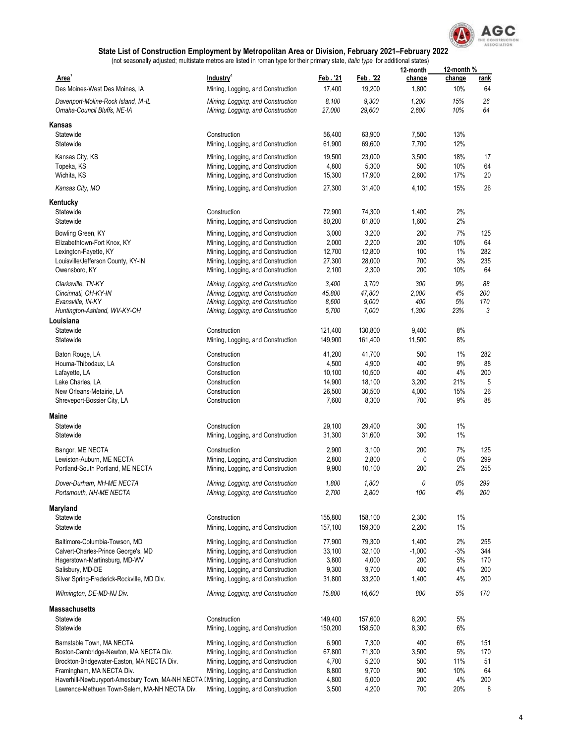

| Area <sup>1</sup>                                                                    | Industry <sup>2</sup>                                                  | Feb. '21         | Feb. 22          | 12-month<br>change | 12-month %<br>change | <u>rank</u> |
|--------------------------------------------------------------------------------------|------------------------------------------------------------------------|------------------|------------------|--------------------|----------------------|-------------|
| Des Moines-West Des Moines, IA                                                       | Mining, Logging, and Construction                                      | 17,400           | 19,200           | 1,800              | 10%                  | 64          |
| Davenport-Moline-Rock Island, IA-IL                                                  | Mining, Logging, and Construction                                      | 8,100            | 9,300            | 1,200              | 15%                  | 26          |
| Omaha-Council Bluffs, NE-IA                                                          | Mining, Logging, and Construction                                      | 27,000           | 29,600           | 2,600              | 10%                  | 64          |
| Kansas                                                                               |                                                                        |                  |                  |                    |                      |             |
| Statewide                                                                            | Construction                                                           | 56,400           | 63,900           | 7,500              | 13%                  |             |
| Statewide                                                                            | Mining, Logging, and Construction                                      | 61,900           | 69,600           | 7,700              | 12%                  |             |
| Kansas City, KS                                                                      | Mining, Logging, and Construction                                      | 19,500           | 23,000           | 3,500              | 18%                  | 17          |
| Topeka, KS                                                                           | Mining, Logging, and Construction                                      | 4,800            | 5,300            | 500                | 10%                  | 64          |
| Wichita, KS                                                                          | Mining, Logging, and Construction                                      | 15,300           | 17,900           | 2,600              | 17%                  | 20          |
| Kansas City, MO                                                                      | Mining, Logging, and Construction                                      | 27,300           | 31,400           | 4,100              | 15%                  | 26          |
| Kentucky                                                                             |                                                                        |                  |                  |                    |                      |             |
| Statewide                                                                            | Construction                                                           | 72,900           | 74,300           | 1,400              | 2%                   |             |
| Statewide                                                                            | Mining, Logging, and Construction                                      | 80,200           | 81,800           | 1,600              | 2%                   |             |
| Bowling Green, KY                                                                    | Mining, Logging, and Construction                                      | 3,000            | 3,200            | 200                | 7%                   | 125         |
| Elizabethtown-Fort Knox, KY                                                          | Mining, Logging, and Construction                                      | 2,000            | 2,200            | 200                | 10%                  | 64<br>282   |
| Lexington-Fayette, KY<br>Louisville/Jefferson County, KY-IN                          | Mining, Logging, and Construction<br>Mining, Logging, and Construction | 12,700<br>27,300 | 12,800<br>28,000 | 100<br>700         | 1%<br>3%             | 235         |
| Owensboro, KY                                                                        | Mining, Logging, and Construction                                      | 2,100            | 2,300            | 200                | 10%                  | 64          |
|                                                                                      |                                                                        |                  |                  |                    |                      |             |
| Clarksville, TN-KY                                                                   | Mining, Logging, and Construction                                      | 3,400            | 3,700            | 300                | 9%                   | 88          |
| Cincinnati, OH-KY-IN<br>Evansville, IN-KY                                            | Mining, Logging, and Construction<br>Mining, Logging, and Construction | 45,800<br>8,600  | 47,800<br>9,000  | 2,000<br>400       | 4%<br>5%             | 200<br>170  |
| Huntington-Ashland, WV-KY-OH                                                         | Mining, Logging, and Construction                                      | 5,700            | 7,000            | 1,300              | 23%                  | 3           |
| Louisiana                                                                            |                                                                        |                  |                  |                    |                      |             |
| Statewide                                                                            | Construction                                                           | 121,400          | 130,800          | 9,400              | 8%                   |             |
| Statewide                                                                            | Mining, Logging, and Construction                                      | 149,900          | 161,400          | 11,500             | 8%                   |             |
| Baton Rouge, LA                                                                      | Construction                                                           | 41,200           | 41,700           | 500                | 1%                   | 282         |
| Houma-Thibodaux, LA                                                                  | Construction                                                           | 4,500            | 4,900            | 400                | 9%                   | 88          |
| Lafayette, LA                                                                        | Construction                                                           | 10,100           | 10,500           | 400                | 4%                   | 200         |
| Lake Charles, LA                                                                     | Construction                                                           | 14,900           | 18,100           | 3,200              | 21%                  | 5           |
| New Orleans-Metairie, LA                                                             | Construction                                                           | 26,500           | 30,500           | 4,000              | 15%                  | 26          |
| Shreveport-Bossier City, LA                                                          | Construction                                                           | 7,600            | 8,300            | 700                | 9%                   | 88          |
| Maine                                                                                |                                                                        |                  |                  |                    |                      |             |
| Statewide                                                                            | Construction                                                           | 29,100           | 29,400           | 300                | 1%                   |             |
| Statewide                                                                            | Mining, Logging, and Construction                                      | 31,300           | 31,600           | 300                | 1%                   |             |
| Bangor, ME NECTA                                                                     | Construction                                                           | 2,900            | 3,100            | 200                | 7%                   | 125         |
| Lewiston-Auburn, ME NECTA                                                            | Mining, Logging, and Construction                                      | 2,800            | 2,800            | 0                  | $0\%$                | 299         |
| Portland-South Portland, ME NECTA                                                    | Mining, Logging, and Construction                                      | 9,900            | 10,100           | 200                | 2%                   | 255         |
| Dover-Durham, NH-ME NECTA                                                            | Mining, Logging, and Construction                                      | 1,800            | 1,800            | 0                  | 0%                   | 299         |
| Portsmouth, NH-ME NECTA                                                              | Mining, Logging, and Construction                                      | 2,700            | 2,800            | 100                | 4%                   | 200         |
| Maryland                                                                             |                                                                        |                  |                  |                    |                      |             |
| Statewide                                                                            | Construction                                                           | 155,800          | 158,100          | 2,300              | 1%                   |             |
| Statewide                                                                            | Mining, Logging, and Construction                                      | 157,100          | 159,300          | 2,200              | 1%                   |             |
| Baltimore-Columbia-Towson, MD                                                        | Mining, Logging, and Construction                                      | 77,900           | 79,300           | 1,400              | 2%                   | 255         |
| Calvert-Charles-Prince George's, MD                                                  | Mining, Logging, and Construction                                      | 33,100           | 32,100           | $-1,000$           | $-3%$                | 344         |
| Hagerstown-Martinsburg, MD-WV                                                        | Mining, Logging, and Construction                                      | 3,800            | 4,000            | 200                | $5\%$                | 170         |
| Salisbury, MD-DE                                                                     | Mining, Logging, and Construction                                      | 9,300            | 9,700            | 400                | 4%                   | 200         |
| Silver Spring-Frederick-Rockville, MD Div.                                           | Mining, Logging, and Construction                                      | 31,800           | 33,200           | 1,400              | 4%                   | 200         |
| Wilmington, DE-MD-NJ Div.                                                            | Mining, Logging, and Construction                                      | 15,800           | 16,600           | 800                | 5%                   | 170         |
| <b>Massachusetts</b>                                                                 |                                                                        |                  |                  |                    |                      |             |
| Statewide                                                                            | Construction                                                           | 149,400          | 157,600          | 8,200              | 5%                   |             |
| Statewide                                                                            | Mining, Logging, and Construction                                      | 150,200          | 158,500          | 8,300              | 6%                   |             |
| Barnstable Town, MA NECTA                                                            | Mining, Logging, and Construction                                      | 6,900            | 7,300            | 400                | 6%                   | 151         |
| Boston-Cambridge-Newton, MA NECTA Div.                                               | Mining, Logging, and Construction                                      | 67,800           | 71,300           | 3,500              | 5%                   | 170         |
| Brockton-Bridgewater-Easton, MA NECTA Div.                                           | Mining, Logging, and Construction                                      | 4,700            | 5,200            | 500                | 11%                  | 51          |
| Framingham, MA NECTA Div.                                                            | Mining, Logging, and Construction                                      | 8,800            | 9,700            | 900                | 10%                  | 64          |
| Haverhill-Newburyport-Amesbury Town, MA-NH NECTA I Mining, Logging, and Construction |                                                                        | 4,800            | 5,000            | 200                | 4%                   | 200         |
| Lawrence-Methuen Town-Salem, MA-NH NECTA Div.                                        | Mining, Logging, and Construction                                      | 3,500            | 4,200            | 700                | 20%                  | 8           |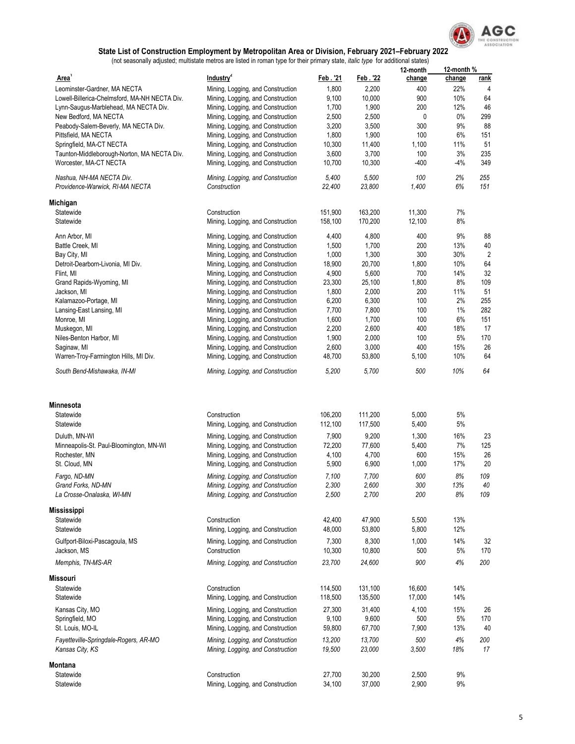

|                                                             |                                                   |                  |                 | 12-month       | 12-month % |                |
|-------------------------------------------------------------|---------------------------------------------------|------------------|-----------------|----------------|------------|----------------|
| Area <sup>1</sup>                                           | Industry <sup>2</sup>                             | Feb. '21         | Feb. '22        | change         | change     | <u>rank</u>    |
| Leominster-Gardner, MA NECTA                                | Mining, Logging, and Construction                 | 1,800            | 2,200           | 400            | 22%        | 4              |
| Lowell-Billerica-Chelmsford, MA-NH NECTA Div.               | Mining, Logging, and Construction                 | 9,100            | 10,000          | 900            | 10%        | 64             |
| Lynn-Saugus-Marblehead, MA NECTA Div.                       | Mining, Logging, and Construction                 | 1,700            | 1,900           | 200            | 12%        | 46             |
| New Bedford, MA NECTA                                       | Mining, Logging, and Construction                 | 2,500            | 2,500           | 0              | $0\%$      | 299            |
| Peabody-Salem-Beverly, MA NECTA Div.                        | Mining, Logging, and Construction                 | 3,200            | 3,500           | 300            | 9%         | 88             |
| Pittsfield, MA NECTA                                        | Mining, Logging, and Construction                 | 1,800            | 1,900           | 100            | 6%         | 151            |
| Springfield, MA-CT NECTA                                    | Mining, Logging, and Construction                 | 10,300           | 11,400          | 1,100          | 11%        | 51             |
| Taunton-Middleborough-Norton, MA NECTA Div.                 | Mining, Logging, and Construction                 | 3,600            | 3,700           | 100            | 3%         | 235            |
| Worcester, MA-CT NECTA                                      | Mining, Logging, and Construction                 | 10,700           | 10,300          | -400           | -4%        | 349            |
| Nashua, NH-MA NECTA Div.<br>Providence-Warwick, RI-MA NECTA | Mining, Logging, and Construction<br>Construction | 5,400<br>22,400  | 5,500<br>23,800 | 100<br>1,400   | 2%<br>6%   | 255<br>151     |
| Michigan                                                    |                                                   |                  |                 |                |            |                |
| Statewide                                                   | Construction                                      | 151,900          | 163,200         | 11,300         | 7%         |                |
| Statewide                                                   | Mining, Logging, and Construction                 | 158,100          | 170,200         | 12,100         | 8%         |                |
| Ann Arbor, MI                                               | Mining, Logging, and Construction                 | 4,400            | 4,800           | 400            | 9%         | 88             |
| Battle Creek, MI                                            | Mining, Logging, and Construction                 | 1,500            | 1,700           | 200            | 13%        | 40             |
| Bay City, MI                                                | Mining, Logging, and Construction                 | 1,000            | 1,300           | 300            | 30%        | $\overline{2}$ |
| Detroit-Dearborn-Livonia, MI Div.                           | Mining, Logging, and Construction                 | 18,900           | 20,700          | 1,800          | 10%        | 64             |
| Flint, MI                                                   | Mining, Logging, and Construction                 | 4,900            | 5,600           | 700            | 14%        | 32             |
| Grand Rapids-Wyoming, MI                                    | Mining, Logging, and Construction                 | 23,300           | 25,100          | 1,800          | 8%         | 109            |
| Jackson, MI                                                 | Mining, Logging, and Construction                 | 1,800            | 2,000           | 200            | 11%        | 51             |
| Kalamazoo-Portage, MI                                       | Mining, Logging, and Construction                 | 6,200            | 6,300           | 100            | 2%         | 255            |
| Lansing-East Lansing, MI                                    | Mining, Logging, and Construction                 | 7,700            | 7,800           | 100            | 1%         | 282            |
| Monroe, MI                                                  | Mining, Logging, and Construction                 | 1,600            | 1,700           | 100            | 6%         | 151            |
| Muskegon, MI                                                | Mining, Logging, and Construction                 | 2,200            | 2,600           | 400            | 18%        | 17             |
| Niles-Benton Harbor, MI                                     | Mining, Logging, and Construction                 | 1,900            | 2,000           | 100            | 5%         | 170            |
| Saginaw, MI                                                 | Mining, Logging, and Construction                 | 2,600            | 3,000           | 400            | 15%        | 26             |
| Warren-Troy-Farmington Hills, MI Div.                       | Mining, Logging, and Construction                 | 48,700           | 53,800          | 5,100          | 10%        | 64             |
| South Bend-Mishawaka, IN-MI                                 | Mining, Logging, and Construction                 | 5,200            | 5,700           | 500            | 10%        | 64             |
|                                                             |                                                   |                  |                 |                |            |                |
| <b>Minnesota</b>                                            |                                                   |                  |                 |                |            |                |
| Statewide                                                   | Construction                                      | 106,200          | 111,200         | 5,000          | 5%         |                |
| Statewide                                                   | Mining, Logging, and Construction                 | 112,100          | 117,500         | 5,400          | 5%         |                |
| Duluth, MN-WI                                               | Mining, Logging, and Construction                 | 7,900            | 9,200           | 1,300          | 16%        | 23             |
| Minneapolis-St. Paul-Bloomington, MN-WI                     | Mining, Logging, and Construction                 | 72,200           | 77,600          | 5,400          | 7%         | 125            |
| Rochester, MN                                               | Mining, Logging, and Construction                 | 4,100            | 4,700           | 600            | 15%        | 26             |
| St. Cloud, MN                                               | Mining, Logging, and Construction                 | 5,900            | 6,900           | 1,000          | 17%        | 20             |
| Fargo, ND-MN                                                | Mining, Logging, and Construction                 | 7,100            | 7,700           | 600            | 8%         | 109            |
| Grand Forks, ND-MN                                          | Mining, Logging, and Construction                 | 2,300            | 2,600           | 300            | 13%        | 40             |
| La Crosse-Onalaska, WI-MN                                   | Mining, Logging, and Construction                 | 2,500            | 2,700           | 200            | 8%         | 109            |
| Mississippi                                                 |                                                   |                  |                 |                |            |                |
| Statewide                                                   |                                                   |                  | 47,900          |                | 13%        |                |
| Statewide                                                   | Construction<br>Mining, Logging, and Construction | 42,400<br>48,000 | 53,800          | 5,500<br>5,800 | 12%        |                |
| Gulfport-Biloxi-Pascagoula, MS                              | Mining, Logging, and Construction                 | 7,300            | 8,300           | 1,000          | 14%        | 32             |
| Jackson, MS                                                 | Construction                                      | 10,300           | 10,800          | 500            | 5%         | 170            |
| Memphis, TN-MS-AR                                           | Mining, Logging, and Construction                 | 23,700           | 24,600          | 900            | 4%         | 200            |
| Missouri                                                    |                                                   |                  |                 |                |            |                |
| Statewide                                                   | Construction                                      | 114,500          | 131,100         | 16,600         | 14%        |                |
| Statewide                                                   | Mining, Logging, and Construction                 | 118,500          | 135,500         | 17,000         | 14%        |                |
| Kansas City, MO                                             | Mining, Logging, and Construction                 | 27,300           | 31,400          | 4,100          | 15%        | 26             |
| Springfield, MO                                             | Mining, Logging, and Construction                 | 9,100            | 9,600           | 500            | 5%         | 170            |
| St. Louis, MO-IL                                            | Mining, Logging, and Construction                 | 59,800           | 67,700          | 7,900          | 13%        | 40             |
| Fayetteville-Springdale-Rogers, AR-MO                       | Mining, Logging, and Construction                 | 13,200           | 13,700          | 500            | 4%         | 200            |
| Kansas City, KS                                             | Mining, Logging, and Construction                 | 19,500           | 23,000          | 3,500          | 18%        | 17             |
| Montana                                                     |                                                   |                  |                 |                |            |                |
| Statewide                                                   | Construction                                      | 27,700           | 30,200          | 2,500          | 9%         |                |
| Statewide                                                   | Mining, Logging, and Construction                 | 34,100           | 37,000          | 2,900          | 9%         |                |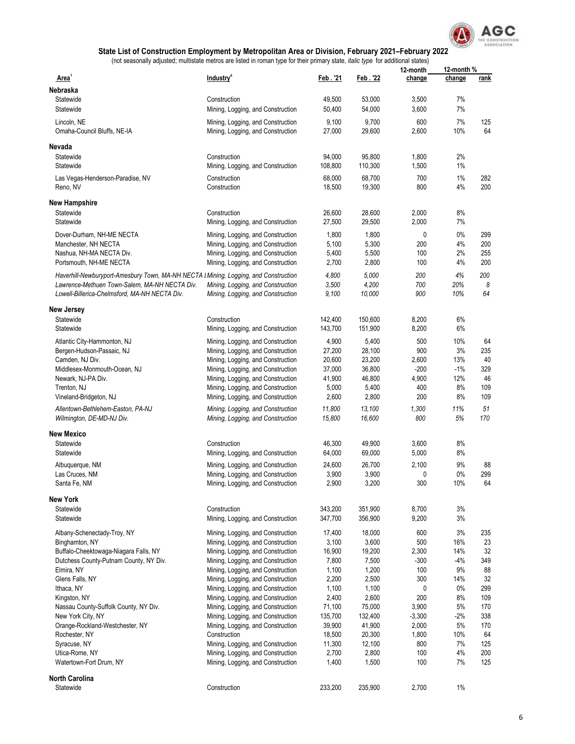

|                                                                                      |                                                                        |                  |                  | 12-month        | 12-month %   |           |
|--------------------------------------------------------------------------------------|------------------------------------------------------------------------|------------------|------------------|-----------------|--------------|-----------|
| Area <sup>1</sup>                                                                    | Industry <sup>2</sup>                                                  | Feb . '21        | Feb. 22          | change          | change       | rank      |
| Nebraska                                                                             |                                                                        |                  |                  |                 |              |           |
| Statewide                                                                            | Construction                                                           | 49,500           | 53,000           | 3,500           | 7%           |           |
| Statewide                                                                            | Mining, Logging, and Construction                                      | 50,400           | 54,000           | 3,600           | 7%           |           |
| Lincoln, NE                                                                          | Mining, Logging, and Construction                                      | 9,100            | 9,700            | 600             | 7%           | 125       |
| Omaha-Council Bluffs, NE-IA                                                          | Mining, Logging, and Construction                                      | 27,000           | 29,600           | 2,600           | 10%          | 64        |
|                                                                                      |                                                                        |                  |                  |                 |              |           |
| Nevada                                                                               |                                                                        |                  |                  |                 |              |           |
| Statewide                                                                            | Construction                                                           | 94,000           | 95,800           | 1,800           | 2%           |           |
| Statewide                                                                            | Mining, Logging, and Construction                                      | 108,800          | 110,300          | 1,500           | 1%           |           |
| Las Vegas-Henderson-Paradise, NV                                                     | Construction                                                           | 68,000           | 68,700           | 700             | 1%           | 282       |
| Reno, NV                                                                             | Construction                                                           | 18,500           | 19,300           | 800             | 4%           | 200       |
| <b>New Hampshire</b>                                                                 |                                                                        |                  |                  |                 |              |           |
| Statewide                                                                            | Construction                                                           | 26,600           | 28,600           | 2,000           | 8%           |           |
| Statewide                                                                            | Mining, Logging, and Construction                                      | 27,500           | 29,500           | 2,000           | 7%           |           |
|                                                                                      |                                                                        |                  |                  |                 |              |           |
| Dover-Durham, NH-ME NECTA                                                            | Mining, Logging, and Construction                                      | 1,800            | 1,800            | 0               | 0%           | 299       |
| Manchester, NH NECTA                                                                 | Mining, Logging, and Construction                                      | 5,100            | 5,300            | 200             | 4%           | 200       |
| Nashua, NH-MA NECTA Div.                                                             | Mining, Logging, and Construction                                      | 5,400            | 5,500            | 100             | 2%           | 255       |
| Portsmouth, NH-ME NECTA                                                              | Mining, Logging, and Construction                                      | 2,700            | 2,800            | 100             | 4%           | 200       |
| Haverhill-Newburyport-Amesbury Town, MA-NH NECTA I Mining, Logging, and Construction |                                                                        | 4,800            | 5,000            | 200             | 4%           | 200       |
| Lawrence-Methuen Town-Salem, MA-NH NECTA Div.                                        | Mining, Logging, and Construction                                      | 3,500            | 4,200            | 700             | 20%          | 8         |
| Lowell-Billerica-Chelmsford, MA-NH NECTA Div.                                        | Mining, Logging, and Construction                                      | 9,100            | 10,000           | 900             | 10%          | 64        |
| New Jersey                                                                           |                                                                        |                  |                  |                 |              |           |
| Statewide                                                                            | Construction                                                           | 142,400          | 150,600          | 8,200           | 6%           |           |
| Statewide                                                                            | Mining, Logging, and Construction                                      | 143,700          | 151,900          | 8,200           | 6%           |           |
|                                                                                      |                                                                        |                  |                  |                 |              |           |
| Atlantic City-Hammonton, NJ                                                          | Mining, Logging, and Construction                                      | 4,900            | 5,400            | 500             | 10%          | 64        |
| Bergen-Hudson-Passaic, NJ                                                            | Mining, Logging, and Construction                                      | 27,200           | 28,100           | 900             | 3%           | 235       |
| Camden, NJ Div.                                                                      | Mining, Logging, and Construction                                      | 20,600<br>37,000 | 23,200<br>36,800 | 2,600<br>$-200$ | 13%<br>$-1%$ | 40<br>329 |
| Middlesex-Monmouth-Ocean, NJ<br>Newark, NJ-PA Div.                                   | Mining, Logging, and Construction<br>Mining, Logging, and Construction | 41,900           | 46,800           | 4,900           | 12%          | 46        |
| Trenton, NJ                                                                          | Mining, Logging, and Construction                                      | 5,000            | 5,400            | 400             | 8%           | 109       |
| Vineland-Bridgeton, NJ                                                               | Mining, Logging, and Construction                                      | 2,600            | 2,800            | 200             | 8%           | 109       |
|                                                                                      |                                                                        |                  |                  |                 |              |           |
| Allentown-Bethlehem-Easton, PA-NJ<br>Wilmington, DE-MD-NJ Div.                       | Mining, Logging, and Construction<br>Mining, Logging, and Construction | 11,800<br>15,800 | 13,100<br>16,600 | 1,300<br>800    | 11%<br>5%    | 51<br>170 |
| New Mexico                                                                           |                                                                        |                  |                  |                 |              |           |
| Statewide                                                                            | Construction                                                           | 46,300           | 49,900           | 3,600           | 8%           |           |
| Statewide                                                                            | Mining, Logging, and Construction                                      | 64,000           | 69,000           | 5,000           | 8%           |           |
|                                                                                      |                                                                        |                  |                  |                 |              |           |
| Albuquerque, NM                                                                      | Mining, Logging, and Construction                                      | 24,600           | 26,700           | 2,100           | 9%           | 88        |
| Las Cruces, NM                                                                       | Mining, Logging, and Construction                                      | 3,900            | 3,900            | 0               | 0%           | 299       |
| Santa Fe, NM                                                                         | Mining, Logging, and Construction                                      | 2,900            | 3,200            | 300             | 10%          | 64        |
| <b>New York</b>                                                                      |                                                                        |                  |                  |                 |              |           |
| Statewide                                                                            | Construction                                                           | 343,200          | 351,900          | 8,700           | $3%$         |           |
| Statewide                                                                            | Mining, Logging, and Construction                                      | 347,700          | 356,900          | 9,200           | 3%           |           |
| Albany-Schenectady-Troy, NY                                                          | Mining, Logging, and Construction                                      | 17,400           | 18,000           | 600             | 3%           | 235       |
| Binghamton, NY                                                                       | Mining, Logging, and Construction                                      | 3,100            | 3,600            | 500             | 16%          | 23        |
| Buffalo-Cheektowaga-Niagara Falls, NY                                                | Mining, Logging, and Construction                                      | 16,900           | 19,200           | 2,300           | 14%          | 32        |
| Dutchess County-Putnam County, NY Div.                                               | Mining, Logging, and Construction                                      | 7,800            | 7,500            | $-300$          | $-4%$        | 349       |
| Elmira, NY                                                                           | Mining, Logging, and Construction                                      | 1,100            | 1,200            | 100             | 9%           | 88        |
| Glens Falls, NY                                                                      | Mining, Logging, and Construction                                      | 2,200            | 2,500            | 300             | 14%          | 32        |
| Ithaca, NY                                                                           | Mining, Logging, and Construction                                      | 1,100            | 1,100            | 0               | 0%           | 299       |
| Kingston, NY                                                                         | Mining, Logging, and Construction                                      | 2,400            | 2,600            | 200             | 8%           | 109       |
| Nassau County-Suffolk County, NY Div.                                                | Mining, Logging, and Construction                                      | 71,100           | 75,000           | 3,900           | 5%           | 170       |
| New York City, NY                                                                    | Mining, Logging, and Construction                                      | 135,700          | 132,400          | $-3,300$        | $-2%$        | 338       |
| Orange-Rockland-Westchester, NY                                                      | Mining, Logging, and Construction                                      | 39,900           | 41,900           | 2,000           | 5%           | 170       |
| Rochester, NY                                                                        | Construction                                                           | 18,500           | 20,300           | 1,800           | 10%          | 64        |
| Syracuse, NY                                                                         | Mining, Logging, and Construction                                      | 11,300           | 12,100           | 800             | 7%           | 125       |
| Utica-Rome, NY                                                                       | Mining, Logging, and Construction                                      | 2,700            | 2,800            | 100             | 4%           | 200       |
| Watertown-Fort Drum, NY                                                              | Mining, Logging, and Construction                                      | 1,400            | 1,500            | 100             | 7%           | 125       |
| North Carolina                                                                       |                                                                        |                  |                  |                 |              |           |
| Statewide                                                                            | Construction                                                           | 233,200          | 235,900          | 2,700           | 1%           |           |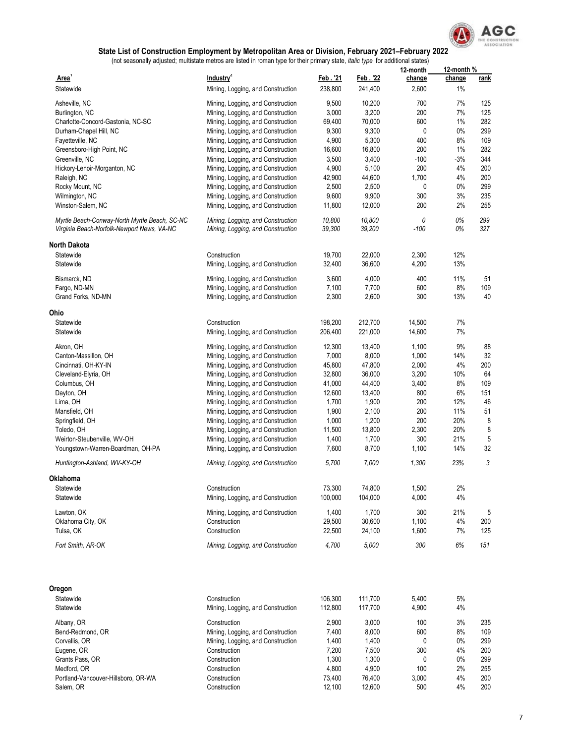

|                                                                                             |                                                                        |                  |                  | 12-month   | 12-month% |             |
|---------------------------------------------------------------------------------------------|------------------------------------------------------------------------|------------------|------------------|------------|-----------|-------------|
| Area <sup>1</sup>                                                                           | Industry <sup>2</sup>                                                  | Feb. '21         | Feb. '22         | change     | change    | <u>rank</u> |
| Statewide                                                                                   | Mining, Logging, and Construction                                      | 238,800          | 241,400          | 2,600      | 1%        |             |
|                                                                                             |                                                                        |                  |                  |            |           |             |
| Asheville, NC                                                                               | Mining, Logging, and Construction                                      | 9,500            | 10,200           | 700        | 7%        | 125         |
| Burlington, NC<br>Charlotte-Concord-Gastonia, NC-SC                                         | Mining, Logging, and Construction<br>Mining, Logging, and Construction | 3,000            | 3,200            | 200<br>600 | 7%<br>1%  | 125         |
|                                                                                             |                                                                        | 69,400           | 70,000           |            |           | 282         |
| Durham-Chapel Hill, NC                                                                      | Mining, Logging, and Construction                                      | 9,300            | 9,300            | 0          | $0\%$     | 299         |
| Fayetteville, NC                                                                            | Mining, Logging, and Construction                                      | 4,900            | 5,300            | 400        | 8%        | 109         |
| Greensboro-High Point, NC                                                                   | Mining, Logging, and Construction                                      | 16,600           | 16,800           | 200        | 1%        | 282         |
| Greenville, NC                                                                              | Mining, Logging, and Construction                                      | 3,500            | 3,400            | $-100$     | $-3%$     | 344         |
| Hickory-Lenoir-Morganton, NC                                                                | Mining, Logging, and Construction                                      | 4,900            | 5,100            | 200        | 4%        | 200         |
| Raleigh, NC                                                                                 | Mining, Logging, and Construction                                      | 42,900           | 44,600           | 1,700      | 4%        | 200         |
| Rocky Mount, NC                                                                             | Mining, Logging, and Construction                                      | 2,500            | 2,500            | 0          | 0%        | 299         |
| Wilmington, NC                                                                              | Mining, Logging, and Construction                                      | 9,600            | 9,900            | 300        | 3%        | 235         |
| Winston-Salem, NC                                                                           | Mining, Logging, and Construction                                      | 11,800           | 12,000           | 200        | 2%        | 255         |
| Myrtle Beach-Conway-North Myrtle Beach, SC-NC<br>Virginia Beach-Norfolk-Newport News, VA-NC | Mining, Logging, and Construction<br>Mining, Logging, and Construction | 10,800<br>39,300 | 10,800<br>39,200 | 0<br>-100  | 0%<br>0%  | 299<br>327  |
| <b>North Dakota</b>                                                                         |                                                                        |                  |                  |            |           |             |
| Statewide                                                                                   | Construction                                                           | 19,700           | 22,000           | 2,300      | 12%       |             |
| Statewide                                                                                   | Mining, Logging, and Construction                                      | 32,400           | 36,600           | 4,200      | 13%       |             |
|                                                                                             |                                                                        |                  |                  |            |           |             |
| Bismarck, ND                                                                                | Mining, Logging, and Construction                                      | 3,600            | 4,000            | 400        | 11%       | 51          |
| Fargo, ND-MN                                                                                | Mining, Logging, and Construction                                      | 7,100            | 7,700            | 600        | 8%        | 109         |
| Grand Forks, ND-MN                                                                          | Mining, Logging, and Construction                                      | 2,300            | 2,600            | 300        | 13%       | 40          |
| Ohio                                                                                        |                                                                        |                  |                  |            |           |             |
| Statewide                                                                                   | Construction                                                           | 198,200          | 212,700          | 14,500     | 7%        |             |
| Statewide                                                                                   | Mining, Logging, and Construction                                      | 206,400          | 221,000          | 14,600     | 7%        |             |
| Akron, OH                                                                                   | Mining, Logging, and Construction                                      | 12,300           | 13,400           | 1,100      | 9%        | 88          |
| Canton-Massillon, OH                                                                        | Mining, Logging, and Construction                                      | 7,000            | 8,000            | 1,000      | 14%       | 32          |
| Cincinnati, OH-KY-IN                                                                        | Mining, Logging, and Construction                                      | 45,800           | 47,800           | 2,000      | 4%        | 200         |
| Cleveland-Elyria, OH                                                                        | Mining, Logging, and Construction                                      | 32,800           | 36,000           | 3,200      | 10%       | 64          |
| Columbus, OH                                                                                | Mining, Logging, and Construction                                      | 41,000           | 44,400           | 3,400      | 8%        | 109         |
| Dayton, OH                                                                                  | Mining, Logging, and Construction                                      | 12,600           | 13,400           | 800        | 6%        | 151         |
| Lima, OH                                                                                    | Mining, Logging, and Construction                                      | 1,700            | 1,900            | 200        | 12%       | 46          |
| Mansfield, OH                                                                               | Mining, Logging, and Construction                                      | 1,900            | 2,100            | 200        | 11%       | 51          |
| Springfield, OH                                                                             | Mining, Logging, and Construction                                      | 1,000            | 1,200            | 200        | 20%       | 8           |
| Toledo, OH                                                                                  | Mining, Logging, and Construction                                      | 11,500           | 13,800           | 2,300      | 20%       | 8           |
| Weirton-Steubenville, WV-OH                                                                 | Mining, Logging, and Construction                                      | 1,400            | 1,700            | 300        | 21%       | 5           |
| Youngstown-Warren-Boardman, OH-PA                                                           | Mining, Logging, and Construction                                      | 7,600            | 8,700            | 1,100      | 14%       | 32          |
|                                                                                             |                                                                        |                  |                  |            |           |             |
| Huntington-Ashland, WV-KY-OH                                                                | Mining, Logging, and Construction                                      | 5,700            | 7,000            | 1,300      | 23%       | 3           |
| Oklahoma                                                                                    |                                                                        |                  |                  |            |           |             |
| Statewide                                                                                   | Construction                                                           | 73,300           | 74,800           | 1,500      | 2%        |             |
| Statewide                                                                                   | Mining, Logging, and Construction                                      | 100,000          | 104,000          | 4,000      | 4%        |             |
| Lawton, OK                                                                                  | Mining, Logging, and Construction                                      | 1,400            | 1,700            | 300        | 21%       | 5           |
| Oklahoma City, OK                                                                           | Construction                                                           | 29,500           | 30,600           | 1,100      | 4%        | 200         |
| Tulsa, OK                                                                                   | Construction                                                           | 22,500           | 24,100           | 1,600      | 7%        | 125         |
| Fort Smith, AR-OK                                                                           | Mining, Logging, and Construction                                      | 4,700            | 5,000            | 300        | 6%        | 151         |
|                                                                                             |                                                                        |                  |                  |            |           |             |
| Oregon                                                                                      |                                                                        |                  |                  |            |           |             |
| Statewide                                                                                   | Construction                                                           | 106,300          | 111,700          | 5,400      | 5%        |             |
| Statewide                                                                                   | Mining, Logging, and Construction                                      | 112,800          | 117,700          | 4,900      | 4%        |             |
| Albany, OR                                                                                  | Construction                                                           | 2,900            | 3,000            | 100        | 3%        | 235         |
| Bend-Redmond, OR                                                                            | Mining, Logging, and Construction                                      | 7,400            | 8,000            | 600        | 8%        | 109         |
| Corvallis, OR                                                                               | Mining, Logging, and Construction                                      | 1,400            | 1,400            | 0          | 0%        | 299         |
| Eugene, OR                                                                                  | Construction                                                           | 7,200            | 7,500            | 300        | 4%        | 200         |
| Grants Pass, OR                                                                             | Construction                                                           | 1,300            | 1,300            | 0          | 0%        | 299         |
| Medford, OR                                                                                 | Construction                                                           | 4,800            | 4,900            | 100        | 2%        | 255         |
| Portland-Vancouver-Hillsboro, OR-WA                                                         | Construction                                                           | 73,400           | 76,400           | 3,000      | 4%        | 200         |
| Salem, OR                                                                                   | Construction                                                           | 12,100           | 12,600           | 500        | 4%        | 200         |
|                                                                                             |                                                                        |                  |                  |            |           |             |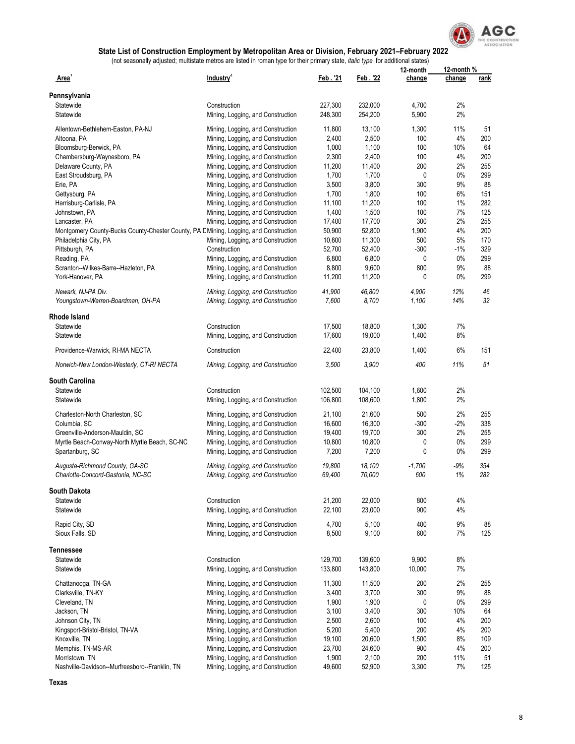

|                                                                                       |                                   |          |         | 12-month | 12-month % |      |
|---------------------------------------------------------------------------------------|-----------------------------------|----------|---------|----------|------------|------|
| Area'                                                                                 | Industry <sup>2</sup>             | Feb. '21 | Feb. 22 | change   | change     | rank |
| Pennsylvania                                                                          |                                   |          |         |          |            |      |
| Statewide                                                                             | Construction                      | 227,300  | 232,000 | 4,700    | 2%         |      |
| Statewide                                                                             | Mining, Logging, and Construction | 248,300  | 254,200 | 5,900    | 2%         |      |
| Allentown-Bethlehem-Easton, PA-NJ                                                     | Mining, Logging, and Construction | 11,800   | 13,100  | 1,300    | 11%        | 51   |
| Altoona, PA                                                                           | Mining, Logging, and Construction | 2,400    | 2,500   | 100      | 4%         | 200  |
| Bloomsburg-Berwick, PA                                                                | Mining, Logging, and Construction | 1,000    | 1,100   | 100      | 10%        | 64   |
|                                                                                       |                                   |          |         |          |            |      |
| Chambersburg-Waynesboro, PA                                                           | Mining, Logging, and Construction | 2,300    | 2,400   | 100      | 4%         | 200  |
| Delaware County, PA                                                                   | Mining, Logging, and Construction | 11,200   | 11,400  | 200      | 2%         | 255  |
| East Stroudsburg, PA                                                                  | Mining, Logging, and Construction | 1,700    | 1,700   | 0        | 0%         | 299  |
| Erie, PA                                                                              | Mining, Logging, and Construction | 3,500    | 3,800   | 300      | 9%         | 88   |
| Gettysburg, PA                                                                        | Mining, Logging, and Construction | 1,700    | 1,800   | 100      | 6%         | 151  |
| Harrisburg-Carlisle, PA                                                               | Mining, Logging, and Construction | 11,100   | 11,200  | 100      | 1%         | 282  |
| Johnstown, PA                                                                         | Mining, Logging, and Construction | 1,400    | 1,500   | 100      | 7%         | 125  |
| Lancaster, PA                                                                         | Mining, Logging, and Construction | 17,400   | 17,700  | 300      | 2%         | 255  |
| Montgomery County-Bucks County-Chester County, PA E Mining, Logging, and Construction |                                   | 50,900   | 52,800  | 1,900    | 4%         | 200  |
| Philadelphia City, PA                                                                 | Mining, Logging, and Construction | 10,800   | 11,300  | 500      | 5%         | 170  |
| Pittsburgh, PA                                                                        | Construction                      | 52,700   | 52,400  | $-300$   | $-1%$      | 329  |
| Reading, PA                                                                           | Mining, Logging, and Construction | 6,800    | 6,800   | 0        | $0\%$      | 299  |
|                                                                                       |                                   | 8,800    | 9,600   | 800      | 9%         | 88   |
| Scranton--Wilkes-Barre--Hazleton, PA                                                  | Mining, Logging, and Construction |          |         |          |            |      |
| York-Hanover, PA                                                                      | Mining, Logging, and Construction | 11,200   | 11,200  | 0        | $0\%$      | 299  |
| Newark, NJ-PA Div.                                                                    | Mining, Logging, and Construction | 41,900   | 46,800  | 4,900    | 12%        | 46   |
| Youngstown-Warren-Boardman, OH-PA                                                     | Mining, Logging, and Construction | 7,600    | 8,700   | 1,100    | 14%        | 32   |
| Rhode Island                                                                          |                                   |          |         |          |            |      |
| Statewide                                                                             | Construction                      | 17,500   | 18.800  | 1,300    | 7%         |      |
|                                                                                       |                                   |          |         |          |            |      |
| Statewide                                                                             | Mining, Logging, and Construction | 17,600   | 19,000  | 1,400    | 8%         |      |
| Providence-Warwick, RI-MA NECTA                                                       | Construction                      | 22,400   | 23,800  | 1,400    | 6%         | 151  |
| Norwich-New London-Westerly, CT-RI NECTA                                              | Mining, Logging, and Construction | 3,500    | 3,900   | 400      | 11%        | 51   |
| South Carolina                                                                        |                                   |          |         |          |            |      |
| Statewide                                                                             | Construction                      | 102,500  | 104,100 | 1,600    | 2%         |      |
| Statewide                                                                             | Mining, Logging, and Construction | 106,800  | 108,600 | 1,800    | 2%         |      |
|                                                                                       |                                   |          |         |          |            |      |
| Charleston-North Charleston, SC                                                       | Mining, Logging, and Construction | 21,100   | 21,600  | 500      | 2%         | 255  |
| Columbia, SC                                                                          | Mining, Logging, and Construction | 16,600   | 16,300  | $-300$   | $-2%$      | 338  |
| Greenville-Anderson-Mauldin, SC                                                       | Mining, Logging, and Construction | 19,400   | 19,700  | 300      | 2%         | 255  |
| Myrtle Beach-Conway-North Myrtle Beach, SC-NC                                         | Mining, Logging, and Construction | 10,800   | 10,800  | 0        | $0\%$      | 299  |
| Spartanburg, SC                                                                       | Mining, Logging, and Construction | 7,200    | 7,200   | 0        | 0%         | 299  |
| Augusta-Richmond County, GA-SC                                                        | Mining, Logging, and Construction | 19,800   | 18,100  | $-1,700$ | $-9%$      | 354  |
| Charlotte-Concord-Gastonia, NC-SC                                                     | Mining, Logging, and Construction | 69,400   | 70,000  | 600      | 1%         | 282  |
|                                                                                       |                                   |          |         |          |            |      |
| South Dakota<br>Statewide                                                             | Construction                      | 21,200   | 22,000  | 800      | 4%         |      |
| Statewide                                                                             | Mining, Logging, and Construction | 22,100   | 23,000  | 900      | 4%         |      |
|                                                                                       |                                   |          |         |          |            |      |
| Rapid City, SD                                                                        | Mining, Logging, and Construction | 4,700    | 5,100   | 400      | 9%         | 88   |
| Sioux Falls, SD                                                                       | Mining, Logging, and Construction | 8,500    | 9,100   | 600      | 7%         | 125  |
| Tennessee                                                                             |                                   |          |         |          |            |      |
| Statewide                                                                             | Construction                      | 129,700  | 139,600 | 9,900    | 8%         |      |
| Statewide                                                                             | Mining, Logging, and Construction | 133,800  | 143,800 | 10,000   | 7%         |      |
| Chattanooga, TN-GA                                                                    | Mining, Logging, and Construction | 11,300   | 11,500  | 200      | 2%         | 255  |
| Clarksville, TN-KY                                                                    | Mining, Logging, and Construction | 3,400    | 3,700   | 300      | 9%         | 88   |
| Cleveland, TN                                                                         | Mining, Logging, and Construction | 1,900    | 1,900   | 0        | 0%         | 299  |
| Jackson, TN                                                                           | Mining, Logging, and Construction | 3,100    | 3,400   | 300      | 10%        | 64   |
|                                                                                       |                                   |          |         |          | 4%         |      |
| Johnson City, TN                                                                      | Mining, Logging, and Construction | 2,500    | 2,600   | 100      |            | 200  |
| Kingsport-Bristol-Bristol, TN-VA                                                      | Mining, Logging, and Construction | 5,200    | 5,400   | 200      | 4%         | 200  |
| Knoxville, TN                                                                         | Mining, Logging, and Construction | 19,100   | 20,600  | 1,500    | 8%         | 109  |
| Memphis, TN-MS-AR                                                                     | Mining, Logging, and Construction | 23,700   | 24,600  | 900      | 4%         | 200  |
| Morristown, TN                                                                        | Mining, Logging, and Construction | 1,900    | 2,100   | 200      | 11%        | 51   |
| Nashville-Davidson--Murfreesboro--Franklin, TN                                        | Mining, Logging, and Construction | 49,600   | 52,900  | 3,300    | 7%         | 125  |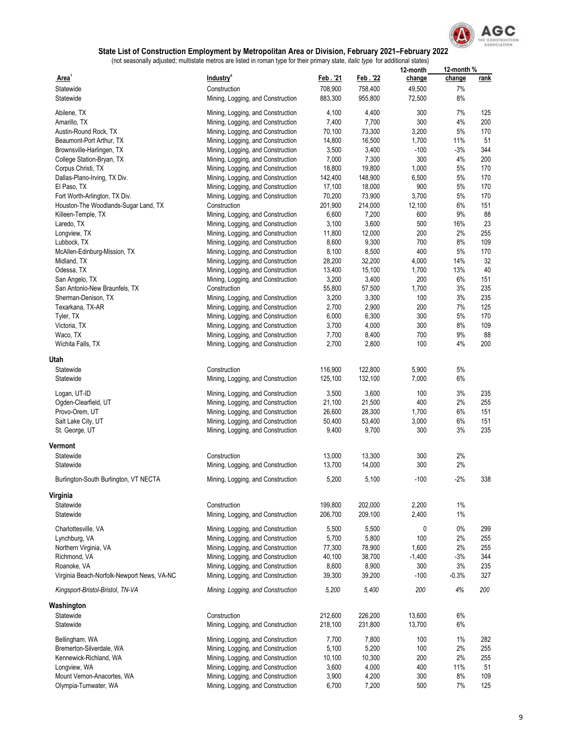

|                                            |                                   |                 |         | 12-month | 12-month % |             |
|--------------------------------------------|-----------------------------------|-----------------|---------|----------|------------|-------------|
| Area'                                      | Industry <sup>2</sup>             | <u>Feb. '21</u> | Feb. 22 | change   | change     | <u>rank</u> |
| Statewide                                  | Construction                      | 708,900         | 758,400 | 49,500   | 7%         |             |
| Statewide                                  | Mining, Logging, and Construction | 883,300         | 955,800 | 72,500   | 8%         |             |
|                                            |                                   |                 |         |          |            |             |
| Abilene, TX                                | Mining, Logging, and Construction | 4,100           | 4,400   | 300      | 7%         | 125         |
| Amarillo, TX                               | Mining, Logging, and Construction | 7,400           | 7,700   | 300      | 4%         | 200         |
| Austin-Round Rock, TX                      | Mining, Logging, and Construction | 70,100          | 73,300  | 3,200    | 5%         | 170         |
| Beaumont-Port Arthur, TX                   | Mining, Logging, and Construction | 14,800          | 16,500  | 1,700    | 11%        | 51          |
| Brownsville-Harlingen, TX                  | Mining, Logging, and Construction | 3,500           | 3,400   | $-100$   | $-3%$      | 344         |
| College Station-Bryan, TX                  | Mining, Logging, and Construction | 7,000           | 7,300   | 300      | 4%         | 200         |
| Corpus Christi, TX                         | Mining, Logging, and Construction | 18,800          | 19,800  | 1,000    | 5%         | 170         |
| Dallas-Plano-Irving, TX Div.               | Mining, Logging, and Construction | 142,400         | 148,900 | 6,500    | 5%         | 170         |
| El Paso, TX                                | Mining, Logging, and Construction | 17,100          | 18,000  | 900      | 5%         | 170         |
| Fort Worth-Arlington, TX Div.              | Mining, Logging, and Construction | 70,200          | 73,900  | 3,700    | 5%         | 170         |
| Houston-The Woodlands-Sugar Land, TX       | Construction                      | 201,900         | 214,000 | 12,100   | 6%         | 151         |
| Killeen-Temple, TX                         | Mining, Logging, and Construction | 6,600           | 7,200   | 600      | 9%         | 88          |
| Laredo, TX                                 | Mining, Logging, and Construction | 3,100           | 3,600   | 500      | 16%        | 23          |
| Longview, TX                               | Mining, Logging, and Construction | 11,800          | 12,000  | 200      | 2%         | 255         |
| Lubbock, TX                                | Mining, Logging, and Construction | 8,600           | 9,300   | 700      | 8%         | 109         |
| McAllen-Edinburg-Mission, TX               | Mining, Logging, and Construction | 8,100           | 8,500   | 400      | 5%         | 170         |
| Midland, TX                                | Mining, Logging, and Construction | 28,200          | 32,200  | 4,000    | 14%        | 32          |
| Odessa, TX                                 | Mining, Logging, and Construction | 13,400          | 15,100  | 1,700    | 13%        | 40          |
| San Angelo, TX                             | Mining, Logging, and Construction | 3,200           | 3,400   | 200      | 6%         | 151         |
| San Antonio-New Braunfels, TX              | Construction                      | 55,800          | 57,500  | 1,700    | 3%         | 235         |
| Sherman-Denison, TX                        |                                   | 3,200           | 3,300   |          | 3%         | 235         |
|                                            | Mining, Logging, and Construction |                 |         | 100      |            |             |
| Texarkana, TX-AR                           | Mining, Logging, and Construction | 2,700           | 2,900   | 200      | 7%         | 125         |
| Tyler, TX                                  | Mining, Logging, and Construction | 6,000           | 6,300   | 300      | 5%         | 170         |
| Victoria, TX                               | Mining, Logging, and Construction | 3,700           | 4,000   | 300      | 8%         | 109         |
| Waco, TX                                   | Mining, Logging, and Construction | 7,700           | 8,400   | 700      | 9%         | 88          |
| Wichita Falls, TX                          | Mining, Logging, and Construction | 2,700           | 2,800   | 100      | 4%         | 200         |
| Utah                                       |                                   |                 |         |          |            |             |
| Statewide                                  | Construction                      | 116,900         | 122,800 | 5,900    | 5%         |             |
| Statewide                                  | Mining, Logging, and Construction | 125,100         | 132,100 | 7,000    | 6%         |             |
|                                            |                                   |                 |         |          |            |             |
| Logan, UT-ID                               | Mining, Logging, and Construction | 3,500           | 3,600   | 100      | 3%         | 235         |
| Ogden-Clearfield, UT                       | Mining, Logging, and Construction | 21,100          | 21,500  | 400      | 2%         | 255         |
| Provo-Orem, UT                             | Mining, Logging, and Construction | 26,600          | 28,300  | 1,700    | 6%         | 151         |
| Salt Lake City, UT                         | Mining, Logging, and Construction | 50,400          | 53,400  | 3,000    | $6\%$      | 151         |
| St. George, UT                             | Mining, Logging, and Construction | 9,400           | 9,700   | 300      | 3%         | 235         |
|                                            |                                   |                 |         |          |            |             |
| Vermont                                    |                                   |                 |         |          |            |             |
| Statewide                                  | Construction                      | 13,000          | 13,300  | 300      | 2%         |             |
| Statewide                                  | Mining, Logging, and Construction | 13,700          | 14,000  | 300      | 2%         |             |
| Burlington-South Burlington, VT NECTA      | Mining, Logging, and Construction | 5,200           | 5,100   | $-100$   | -2%        | 338         |
|                                            |                                   |                 |         |          |            |             |
| Virginia                                   |                                   |                 |         |          |            |             |
| Statewide                                  | Construction                      | 199,800         | 202,000 | 2,200    | $1\%$      |             |
| Statewide                                  | Mining, Logging, and Construction | 206,700         | 209,100 | 2,400    | $1\%$      |             |
|                                            |                                   |                 |         |          |            |             |
| Charlottesville, VA                        | Mining, Logging, and Construction | 5,500           | 5,500   | 0        | $0\%$      | 299         |
| Lynchburg, VA                              | Mining, Logging, and Construction | 5,700           | 5,800   | 100      | 2%         | 255         |
| Northern Virginia, VA                      | Mining, Logging, and Construction | 77,300          | 78,900  | 1,600    | 2%         | 255         |
| Richmond, VA                               | Mining, Logging, and Construction | 40,100          | 38,700  | $-1,400$ | $-3%$      | 344         |
| Roanoke, VA                                | Mining, Logging, and Construction | 8,600           | 8,900   | 300      | 3%         | 235         |
| Virginia Beach-Norfolk-Newport News, VA-NC | Mining, Logging, and Construction | 39,300          | 39,200  | $-100$   | $-0.3%$    | 327         |
| Kingsport-Bristol-Bristol, TN-VA           | Mining, Logging, and Construction | 5,200           | 5,400   | 200      | 4%         | 200         |
|                                            |                                   |                 |         |          |            |             |
| Washington                                 |                                   |                 |         |          |            |             |
| Statewide                                  | Construction                      | 212,600         | 226,200 | 13,600   | 6%         |             |
| Statewide                                  | Mining, Logging, and Construction | 218,100         | 231,800 | 13,700   | 6%         |             |
| Bellingham, WA                             | Mining, Logging, and Construction | 7,700           | 7,800   | 100      | $1\%$      | 282         |
| Bremerton-Silverdale, WA                   | Mining, Logging, and Construction | 5,100           | 5,200   | 100      | 2%         | 255         |
| Kennewick-Richland, WA                     | Mining, Logging, and Construction | 10,100          | 10,300  | 200      | 2%         | 255         |
| Longview, WA                               | Mining, Logging, and Construction | 3,600           | 4,000   | 400      | 11%        | 51          |
| Mount Vernon-Anacortes, WA                 | Mining, Logging, and Construction | 3,900           | 4,200   | 300      | 8%         | 109         |
| Olympia-Tumwater, WA                       |                                   | 6,700           |         | 500      | 7%         | 125         |
|                                            | Mining, Logging, and Construction |                 | 7,200   |          |            |             |